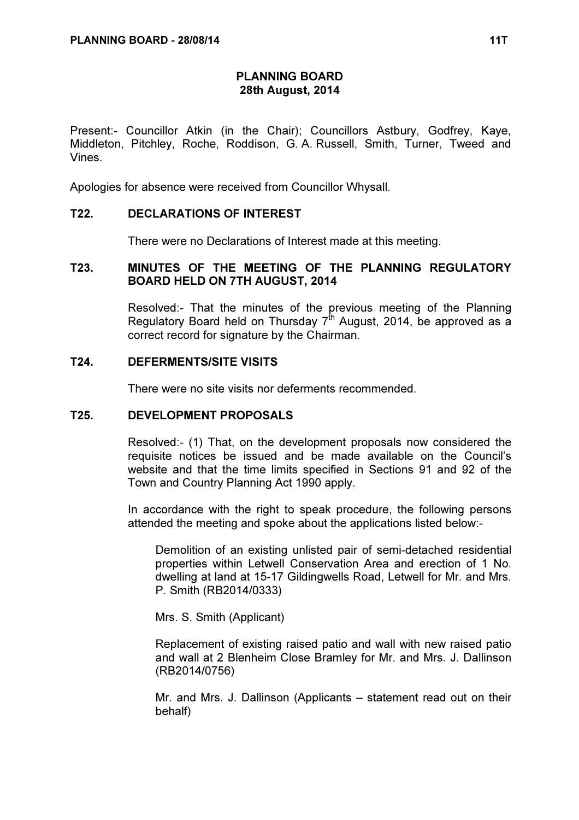# PLANNING BOARD 28th August, 2014

Present:- Councillor Atkin (in the Chair); Councillors Astbury, Godfrey, Kaye, Middleton, Pitchley, Roche, Roddison, G. A. Russell, Smith, Turner, Tweed and Vines.

Apologies for absence were received from Councillor Whysall.

## T22. DECLARATIONS OF INTEREST

There were no Declarations of Interest made at this meeting.

# T23. MINUTES OF THE MEETING OF THE PLANNING REGULATORY BOARD HELD ON 7TH AUGUST, 2014

 Resolved:- That the minutes of the previous meeting of the Planning Regulatory Board held on Thursday  $7<sup>th</sup>$  August, 2014, be approved as a correct record for signature by the Chairman.

#### T24. DEFERMENTS/SITE VISITS

There were no site visits nor deferments recommended.

#### T25. DEVELOPMENT PROPOSALS

 Resolved:- (1) That, on the development proposals now considered the requisite notices be issued and be made available on the Council's website and that the time limits specified in Sections 91 and 92 of the Town and Country Planning Act 1990 apply.

In accordance with the right to speak procedure, the following persons attended the meeting and spoke about the applications listed below:-

Demolition of an existing unlisted pair of semi-detached residential properties within Letwell Conservation Area and erection of 1 No. dwelling at land at 15-17 Gildingwells Road, Letwell for Mr. and Mrs. P. Smith (RB2014/0333)

Mrs. S. Smith (Applicant)

Replacement of existing raised patio and wall with new raised patio and wall at 2 Blenheim Close Bramley for Mr. and Mrs. J. Dallinson (RB2014/0756)

Mr. and Mrs. J. Dallinson (Applicants – statement read out on their behalf)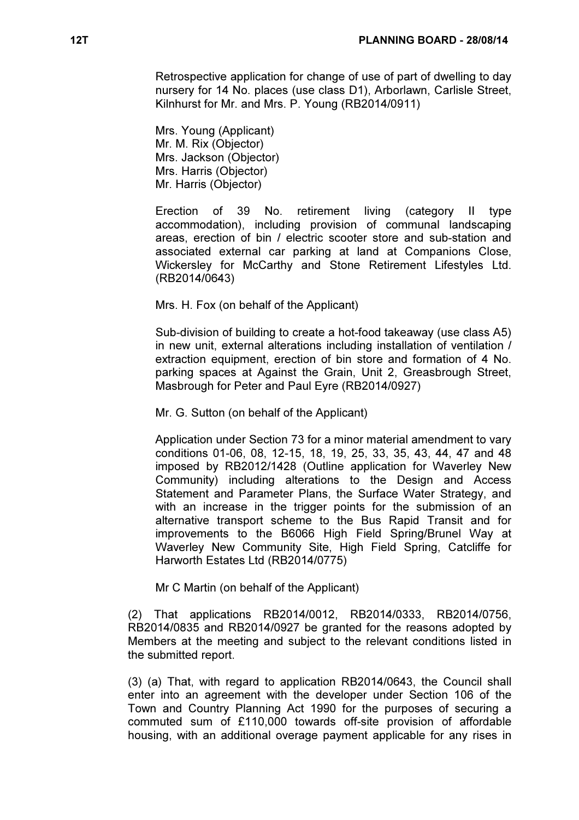Retrospective application for change of use of part of dwelling to day nursery for 14 No. places (use class D1), Arborlawn, Carlisle Street, Kilnhurst for Mr. and Mrs. P. Young (RB2014/0911)

Mrs. Young (Applicant) Mr. M. Rix (Objector) Mrs. Jackson (Objector) Mrs. Harris (Objector) Mr. Harris (Objector)

Erection of 39 No. retirement living (category II type accommodation), including provision of communal landscaping areas, erection of bin / electric scooter store and sub-station and associated external car parking at land at Companions Close, Wickersley for McCarthy and Stone Retirement Lifestyles Ltd. (RB2014/0643)

Mrs. H. Fox (on behalf of the Applicant)

Sub-division of building to create a hot-food takeaway (use class A5) in new unit, external alterations including installation of ventilation / extraction equipment, erection of bin store and formation of 4 No. parking spaces at Against the Grain, Unit 2, Greasbrough Street, Masbrough for Peter and Paul Eyre (RB2014/0927)

Mr. G. Sutton (on behalf of the Applicant)

Application under Section 73 for a minor material amendment to vary conditions 01-06, 08, 12-15, 18, 19, 25, 33, 35, 43, 44, 47 and 48 imposed by RB2012/1428 (Outline application for Waverley New Community) including alterations to the Design and Access Statement and Parameter Plans, the Surface Water Strategy, and with an increase in the trigger points for the submission of an alternative transport scheme to the Bus Rapid Transit and for improvements to the B6066 High Field Spring/Brunel Way at Waverley New Community Site, High Field Spring, Catcliffe for Harworth Estates Ltd (RB2014/0775)

Mr C Martin (on behalf of the Applicant)

(2) That applications RB2014/0012, RB2014/0333, RB2014/0756, RB2014/0835 and RB2014/0927 be granted for the reasons adopted by Members at the meeting and subject to the relevant conditions listed in the submitted report.

(3) (a) That, with regard to application RB2014/0643, the Council shall enter into an agreement with the developer under Section 106 of the Town and Country Planning Act 1990 for the purposes of securing a commuted sum of £110,000 towards off-site provision of affordable housing, with an additional overage payment applicable for any rises in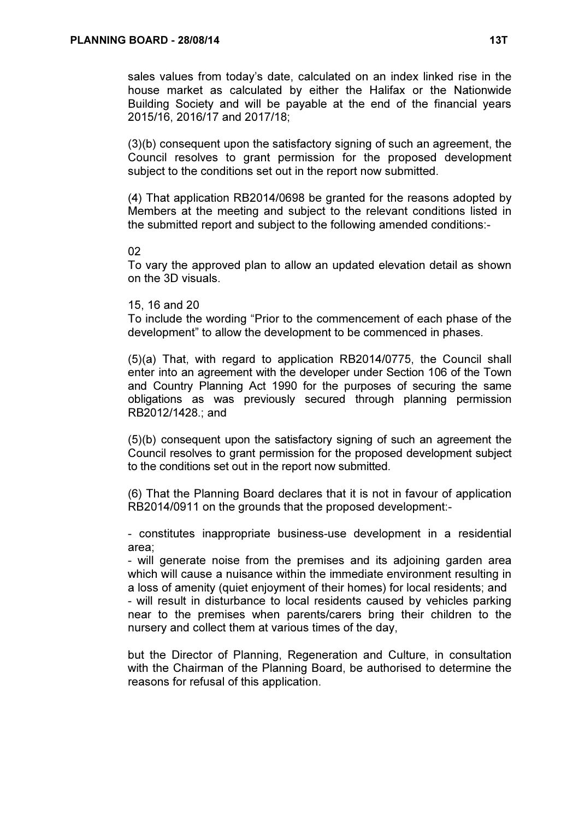sales values from today's date, calculated on an index linked rise in the house market as calculated by either the Halifax or the Nationwide Building Society and will be payable at the end of the financial years 2015/16, 2016/17 and 2017/18;

(3)(b) consequent upon the satisfactory signing of such an agreement, the Council resolves to grant permission for the proposed development subject to the conditions set out in the report now submitted.

(4) That application RB2014/0698 be granted for the reasons adopted by Members at the meeting and subject to the relevant conditions listed in the submitted report and subject to the following amended conditions:-

#### 02

To vary the approved plan to allow an updated elevation detail as shown on the 3D visuals.

## 15, 16 and 20

To include the wording "Prior to the commencement of each phase of the development" to allow the development to be commenced in phases.

(5)(a) That, with regard to application RB2014/0775, the Council shall enter into an agreement with the developer under Section 106 of the Town and Country Planning Act 1990 for the purposes of securing the same obligations as was previously secured through planning permission RB2012/1428.; and

(5)(b) consequent upon the satisfactory signing of such an agreement the Council resolves to grant permission for the proposed development subject to the conditions set out in the report now submitted.

(6) That the Planning Board declares that it is not in favour of application RB2014/0911 on the grounds that the proposed development:-

- constitutes inappropriate business-use development in a residential area;

- will generate noise from the premises and its adjoining garden area which will cause a nuisance within the immediate environment resulting in a loss of amenity (quiet enjoyment of their homes) for local residents; and - will result in disturbance to local residents caused by vehicles parking near to the premises when parents/carers bring their children to the nursery and collect them at various times of the day,

but the Director of Planning, Regeneration and Culture, in consultation with the Chairman of the Planning Board, be authorised to determine the reasons for refusal of this application.